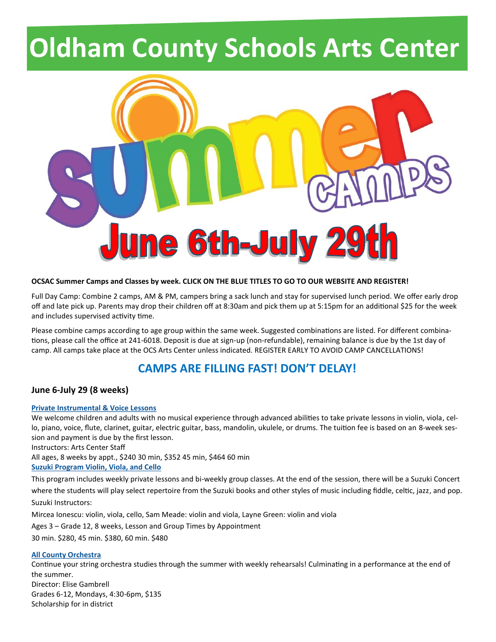# **Oldham County Schools Arts Center**



#### **OCSAC Summer Camps and Classes by week. CLICK ON THE BLUE TITLES TO GO TO OUR WEBSITE AND REGISTER!**

Full Day Camp: Combine 2 camps, AM & PM, campers bring a sack lunch and stay for supervised lunch period. We offer early drop off and late pick up. Parents may drop their children off at 8:30am and pick them up at 5:15pm for an additional \$25 for the week and includes supervised activity time.

Please combine camps according to age group within the same week. Suggested combinations are listed. For different combinations, please call the office at 241-6018. Deposit is due at sign-up (non-refundable), remaining balance is due by the 1st day of camp. All camps take place at the OCS Arts Center unless indicated. REGISTER EARLY TO AVOID CAMP CANCELLATIONS!

## **CAMPS ARE FILLING FAST! DON'T DELAY!**

#### **June 6-July 29 (8 weeks)**

#### **[Private Instrumental & Voice Lessons](https://www.oldhamcntyschs.ky.schools.bz/20/CourseInfo/100)**

We welcome children and adults with no musical experience through advanced abilities to take private lessons in violin, viola, cello, piano, voice, flute, clarinet, guitar, electric guitar, bass, mandolin, ukulele, or drums. The tuition fee is based on an 8-week session and payment is due by the first lesson.

Instructors: Arts Center Staff

All ages, 8 weeks by appt., \$240 30 min, \$352 45 min, \$464 60 min

**[Suzuki Program Violin, Viola, and Cello](https://www.oldhamcntyschs.ky.schools.bz/20/CourseInfo/296)**

This program includes weekly private lessons and bi-weekly group classes. At the end of the session, there will be a Suzuki Concert where the students will play select repertoire from the Suzuki books and other styles of music including fiddle, celtic, jazz, and pop. Suzuki Instructors:

Mircea Ionescu: violin, viola, cello, Sam Meade: violin and viola, Layne Green: violin and viola

Ages 3 – Grade 12, 8 weeks, Lesson and Group Times by Appointment

30 min. \$280, 45 min. \$380, 60 min. \$480

#### **[All County Orchestra](https://www.oldhamcntyschs.ky.schools.bz/20/CourseInfo/98)**

Continue your string orchestra studies through the summer with weekly rehearsals! Culminating in a performance at the end of the summer. Director: Elise Gambrell Grades 6-12, Mondays, 4:30-6pm, \$135 Scholarship for in district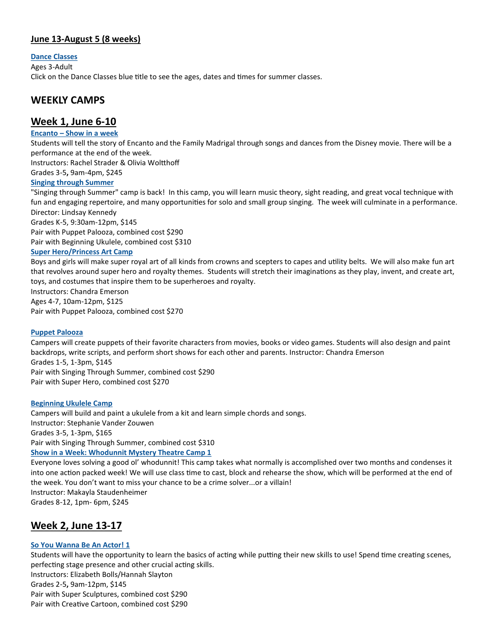#### **June 13-August 5 (8 weeks)**

#### **[Dance Classes](https://www.oldhamcntyschs.ky.schools.bz/20/CourseInfo/124)**

Ages 3-Adult

Click on the Dance Classes blue title to see the ages, dates and times for summer classes.

## **WEEKLY CAMPS**

### **Week 1, June 6-10**

#### **Encanto – [Show in a week](https://www.oldhamcntyschs.ky.schools.bz/20/CourseInfo/2)**

Students will tell the story of Encanto and the Family Madrigal through songs and dances from the Disney movie. There will be a performance at the end of the week.

Instructors: Rachel Strader & Olivia Woltthoff

## Grades 3-5**,** 9am-4pm, \$245

#### **[Singing through Summer](https://www.oldhamcntyschs.ky.schools.bz/20/CourseInfo/90)**

"Singing through Summer" camp is back! In this camp, you will learn music theory, sight reading, and great vocal technique with fun and engaging repertoire, and many opportunities for solo and small group singing. The week will culminate in a performance. Director: Lindsay Kennedy Grades K-5, 9:30am-12pm, \$145

Pair with Puppet Palooza, combined cost \$290 Pair with Beginning Ukulele, combined cost \$310

#### **[Super Hero/Princess Art Camp](https://www.oldhamcntyschs.ky.schools.bz/20/CourseInfo/48)**

Boys and girls will make super royal art of all kinds from crowns and scepters to capes and utility belts. We will also make fun art that revolves around super hero and royalty themes. Students will stretch their imaginations as they play, invent, and create art, toys, and costumes that inspire them to be superheroes and royalty.

Instructors: Chandra Emerson Ages 4-7, 10am-12pm, \$125 Pair with Puppet Palooza, combined cost \$270

#### **[Puppet Palooza](https://www.oldhamcntyschs.ky.schools.bz/20/CourseInfo/52)**

Campers will create puppets of their favorite characters from movies, books or video games. Students will also design and paint backdrops, write scripts, and perform short shows for each other and parents. Instructor: Chandra Emerson Grades 1-5, 1-3pm, \$145 Pair with Singing Through Summer, combined cost \$290 Pair with Super Hero, combined cost \$270

#### **[Beginning Ukulele Camp](https://www.oldhamcntyschs.ky.schools.bz/20/CourseInfo/92)**

Campers will build and paint a ukulele from a kit and learn simple chords and songs. Instructor: Stephanie Vander Zouwen Grades 3-5, 1-3pm, \$165 Pair with Singing Through Summer, combined cost \$310 **[Show in a Week: Whodunnit Mystery Theatre Camp 1](https://www.oldhamcntyschs.ky.schools.bz/20/CourseInfo/8)**

Everyone loves solving a good ol' whodunnit! This camp takes what normally is accomplished over two months and condenses it into one action packed week! We will use class time to cast, block and rehearse the show, which will be performed at the end of the week. You don't want to miss your chance to be a crime solver...or a villain! Instructor: Makayla Staudenheimer Grades 8-12, 1pm- 6pm, \$245

## **Week 2, June 13-17**

#### **[So You Wanna Be An Actor! 1](https://www.oldhamcntyschs.ky.schools.bz/20/CourseInfo/10)**

Students will have the opportunity to learn the basics of acting while putting their new skills to use! Spend time creating scenes, perfecting stage presence and other crucial acting skills. Instructors: Elizabeth Bolls/Hannah Slayton Grades 2-5**,** 9am-12pm, \$145 Pair with Super Sculptures, combined cost \$290 Pair with Creative Cartoon, combined cost \$290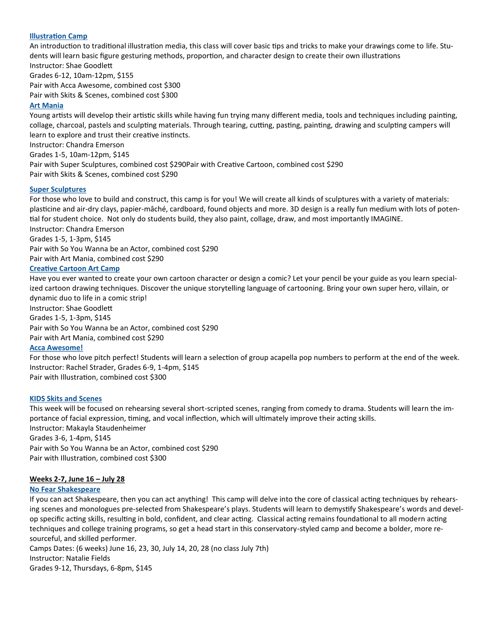#### **[Illustration Camp](https://www.oldhamcntyschs.ky.schools.bz/20/CourseInfo/58)**

An introduction to traditional illustration media, this class will cover basic tips and tricks to make your drawings come to life. Students will learn basic figure gesturing methods, proportion, and character design to create their own illustrations Instructor: Shae Goodlett

Grades 6-12, 10am-12pm, \$155 Pair with Acca Awesome, combined cost \$300 Pair with Skits & Scenes, combined cost \$300

#### **[Art Mania](https://www.oldhamcntyschs.ky.schools.bz/20/CourseInfo/62)**

Young artists will develop their artistic skills while having fun trying many different media, tools and techniques including painting, collage, charcoal, pastels and sculpting materials. Through tearing, cutting, pasting, painting, drawing and sculpting campers will learn to explore and trust their creative instincts.

Instructor: Chandra Emerson Grades 1-5, 10am-12pm, \$145 Pair with Super Sculptures, combined cost \$290Pair with Creative Cartoon, combined cost \$290 Pair with Skits & Scenes, combined cost \$290

#### **[Super Sculptures](https://www.oldhamcntyschs.ky.schools.bz/20/CourseInfo/68)**

For those who love to build and construct, this camp is for you! We will create all kinds of sculptures with a variety of materials: plasticine and air-dry clays, papier-mâché, cardboard, found objects and more. 3D design is a really fun medium with lots of potential for student choice. Not only do students build, they also paint, collage, draw, and most importantly IMAGINE. Instructor: Chandra Emerson

Grades 1-5, 1-3pm, \$145

Pair with So You Wanna be an Actor, combined cost \$290

Pair with Art Mania, combined cost \$290

#### **[Creative Cartoon Art Camp](https://www.oldhamcntyschs.ky.schools.bz/20/CourseInfo/70)**

Have you ever wanted to create your own cartoon character or design a comic? Let your pencil be your guide as you learn specialized cartoon drawing techniques. Discover the unique storytelling language of cartooning. Bring your own super hero, villain, or dynamic duo to life in a comic strip! Instructor: Shae Goodlett

Grades 1-5, 1-3pm, \$145

Pair with So You Wanna be an Actor, combined cost \$290

Pair with Art Mania, combined cost \$290

#### **[Acca Awesome!](https://www.oldhamcntyschs.ky.schools.bz/20/CourseInfo/94)**

For those who love pitch perfect! Students will learn a selection of group acapella pop numbers to perform at the end of the week. Instructor: Rachel Strader, Grades 6-9, 1-4pm, \$145 Pair with Illustration, combined cost \$300

#### **[KIDS Skits and Scenes](https://www.oldhamcntyschs.ky.schools.bz/20/CourseInfo/12)**

This week will be focused on rehearsing several short-scripted scenes, ranging from comedy to drama. Students will learn the importance of facial expression, timing, and vocal inflection, which will ultimately improve their acting skills. Instructor: Makayla Staudenheimer Grades 3-6, 1-4pm, \$145 Pair with So You Wanna be an Actor, combined cost \$290 Pair with Illustration, combined cost \$300

#### **Weeks 2-7, June 16 – July 28**

#### **[No Fear Shakespeare](https://www.oldhamcntyschs.ky.schools.bz/20/CourseInfo/356)**

If you can act Shakespeare, then you can act anything! This camp will delve into the core of classical acting techniques by rehearsing scenes and monologues pre-selected from Shakespeare's plays. Students will learn to demystify Shakespeare's words and develop specific acting skills, resulting in bold, confident, and clear acting. Classical acting remains foundational to all modern acting techniques and college training programs, so get a head start in this conservatory-styled camp and become a bolder, more resourceful, and skilled performer.

Camps Dates: (6 weeks) June 16, 23, 30, July 14, 20, 28 (no class July 7th) Instructor: Natalie Fields Grades 9-12, Thursdays, 6-8pm, \$145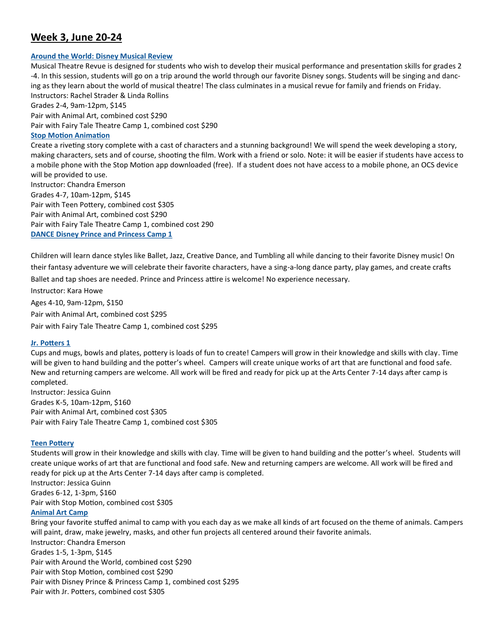## **Week 3, June 20-24**

#### **[Around the World: Disney Musical Review](https://www.oldhamcntyschs.ky.schools.bz/20/CourseInfo/14)**

Musical Theatre Revue is designed for students who wish to develop their musical performance and presentation skills for grades 2 -4. In this session, students will go on a trip around the world through our favorite Disney songs. Students will be singing and dancing as they learn about the world of musical theatre! The class culminates in a musical revue for family and friends on Friday. Instructors: Rachel Strader & Linda Rollins Grades 2-4, 9am-12pm, \$145 Pair with Animal Art, combined cost \$290 Pair with Fairy Tale Theatre Camp 1, combined cost \$290 **[Stop Motion Animation](https://www.oldhamcntyschs.ky.schools.bz/20/CourseInfo/72)** Create a riveting story complete with a cast of characters and a stunning background! We will spend the week developing a story, making characters, sets and of course, shooting the film. Work with a friend or solo. Note: it will be easier if students have access to a mobile phone with the Stop Motion app downloaded (free). If a student does not have access to a mobile phone, an OCS device will be provided to use. Instructor: Chandra Emerson Grades 4-7, 10am-12pm, \$145 Pair with Teen Pottery, combined cost \$305 Pair with Animal Art, combined cost \$290 Pair with Fairy Tale Theatre Camp 1, combined cost 290 **[DANCE Disney Prince and Princess Camp 1](https://www.oldhamcntyschs.ky.schools.bz/20/CourseInfo/84)**

Children will learn dance styles like Ballet, Jazz, Creative Dance, and Tumbling all while dancing to their favorite Disney music! On their fantasy adventure we will celebrate their favorite characters, have a sing-a-long dance party, play games, and create crafts Ballet and tap shoes are needed. Prince and Princess attire is welcome! No experience necessary.

Instructor: Kara Howe Ages 4-10, 9am-12pm, \$150 Pair with Animal Art, combined cost \$295 Pair with Fairy Tale Theatre Camp 1, combined cost \$295

#### **[Jr. Potters 1](https://www.oldhamcntyschs.ky.schools.bz/20/CourseInfo/74)**

Cups and mugs, bowls and plates, pottery is loads of fun to create! Campers will grow in their knowledge and skills with clay. Time will be given to hand building and the potter's wheel. Campers will create unique works of art that are functional and food safe. New and returning campers are welcome. All work will be fired and ready for pick up at the Arts Center 7-14 days after camp is completed.

Instructor: Jessica Guinn Grades K-5, 10am-12pm, \$160 Pair with Animal Art, combined cost \$305 Pair with Fairy Tale Theatre Camp 1, combined cost \$305

#### **[Teen Pottery](https://www.oldhamcntyschs.ky.schools.bz/20/CourseInfo/76)**

Students will grow in their knowledge and skills with clay. Time will be given to hand building and the potter's wheel. Students will create unique works of art that are functional and food safe. New and returning campers are welcome. All work will be fired and ready for pick up at the Arts Center 7-14 days after camp is completed.

Instructor: Jessica Guinn Grades 6-12, 1-3pm, \$160 Pair with Stop Motion, combined cost \$305

#### **[Animal Art Camp](https://www.oldhamcntyschs.ky.schools.bz/20/CourseInfo/78)**

Bring your favorite stuffed animal to camp with you each day as we make all kinds of art focused on the theme of animals. Campers will paint, draw, make jewelry, masks, and other fun projects all centered around their favorite animals. Instructor: Chandra Emerson Grades 1-5, 1-3pm, \$145 Pair with Around the World, combined cost \$290 Pair with Stop Motion, combined cost \$290 Pair with Disney Prince & Princess Camp 1, combined cost \$295 Pair with Jr. Potters, combined cost \$305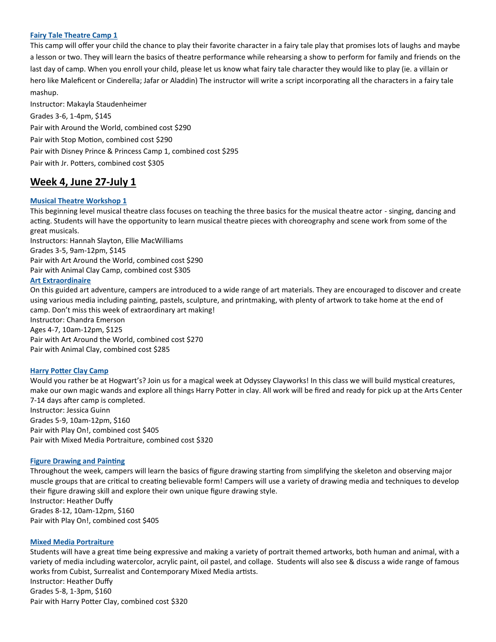#### **[Fairy Tale Theatre Camp 1](https://www.oldhamcntyschs.ky.schools.bz/20/CourseInfo/16)**

This camp will offer your child the chance to play their favorite character in a fairy tale play that promises lots of laughs and maybe a lesson or two. They will learn the basics of theatre performance while rehearsing a show to perform for family and friends on the last day of camp. When you enroll your child, please let us know what fairy tale character they would like to play (ie. a villain or hero like Maleficent or Cinderella; Jafar or Aladdin) The instructor will write a script incorporating all the characters in a fairy tale mashup.

Instructor: Makayla Staudenheimer Grades 3-6, 1-4pm, \$145 Pair with Around the World, combined cost \$290 Pair with Stop Motion, combined cost \$290 Pair with Disney Prince & Princess Camp 1, combined cost \$295 Pair with Jr. Potters, combined cost \$305

## **Week 4, June 27-July 1**

#### **[Musical Theatre Workshop 1](https://www.oldhamcntyschs.ky.schools.bz/20/CourseInfo/18)**

This beginning level musical theatre class focuses on teaching the three basics for the musical theatre actor - singing, dancing and acting. Students will have the opportunity to learn musical theatre pieces with choreography and scene work from some of the great musicals.

Instructors: Hannah Slayton, Ellie MacWilliams Grades 3-5, 9am-12pm, \$145 Pair with Art Around the World, combined cost \$290 Pair with Animal Clay Camp, combined cost \$305

#### **[Art Extraordinaire](https://www.oldhamcntyschs.ky.schools.bz/20/CourseInfo/80)**

On this guided art adventure, campers are introduced to a wide range of art materials. They are encouraged to discover and create using various media including painting, pastels, sculpture, and printmaking, with plenty of artwork to take home at the end of camp. Don't miss this week of extraordinary art making! Instructor: Chandra Emerson Ages 4-7, 10am-12pm, \$125 Pair with Art Around the World, combined cost \$270

Pair with Animal Clay, combined cost \$285

#### **[Harry Potter Clay Camp](https://www.oldhamcntyschs.ky.schools.bz/20/CourseInfo/82)**

Would you rather be at Hogwart's? Join us for a magical week at Odyssey Clayworks! In this class we will build mystical creatures, make our own magic wands and explore all things Harry Potter in clay. All work will be fired and ready for pick up at the Arts Center 7-14 days after camp is completed. Instructor: Jessica Guinn Grades 5-9, 10am-12pm, \$160

Pair with Play On!, combined cost \$405 Pair with Mixed Media Portraiture, combined cost \$320

#### **[Figure Drawing and Painting](https://www.oldhamcntyschs.ky.schools.bz/20/CourseInfo/274)**

Throughout the week, campers will learn the basics of figure drawing starting from simplifying the skeleton and observing major muscle groups that are critical to creating believable form! Campers will use a variety of drawing media and techniques to develop their figure drawing skill and explore their own unique figure drawing style. Instructor: Heather Duffy

Grades 8-12, 10am-12pm, \$160 Pair with Play On!, combined cost \$405

#### **[Mixed Media Portraiture](https://www.oldhamcntyschs.ky.schools.bz/20/CourseInfo/276)**

Students will have a great time being expressive and making a variety of portrait themed artworks, both human and animal, with a variety of media including watercolor, acrylic paint, oil pastel, and collage. Students will also see & discuss a wide range of famous works from Cubist, Surrealist and Contemporary Mixed Media artists. Instructor: Heather Duffy

Grades 5-8, 1-3pm, \$160 Pair with Harry Potter Clay, combined cost \$320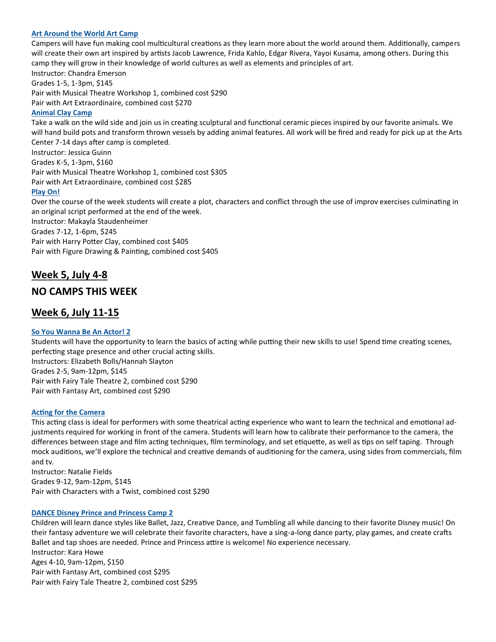#### **[Art Around the World Art Camp](https://www.oldhamcntyschs.ky.schools.bz/20/CourseInfo/280)**

Campers will have fun making cool multicultural creations as they learn more about the world around them. Additionally, campers will create their own art inspired by artists Jacob Lawrence, Frida Kahlo, Edgar Rivera, Yayoi Kusama, among others. During this camp they will grow in their knowledge of world cultures as well as elements and principles of art.

Instructor: Chandra Emerson Grades 1-5, 1-3pm, \$145 Pair with Musical Theatre Workshop 1, combined cost \$290 Pair with Art Extraordinaire, combined cost \$270

#### **[Animal Clay Camp](https://www.oldhamcntyschs.ky.schools.bz/20/CourseInfo/292)**

Take a walk on the wild side and join us in creating sculptural and functional ceramic pieces inspired by our favorite animals. We will hand build pots and transform thrown vessels by adding animal features. All work will be fired and ready for pick up at the Arts Center 7-14 days after camp is completed. Instructor: Jessica Guinn Grades K-5, 1-3pm, \$160 Pair with Musical Theatre Workshop 1, combined cost \$305 Pair with Art Extraordinaire, combined cost \$285 **[Play On!](https://www.oldhamcntyschs.ky.schools.bz/20/CourseInfo/20)** Over the course of the week students will create a plot, characters and conflict through the use of improv exercises culminating in

an original script performed at the end of the week. Instructor: Makayla Staudenheimer Grades 7-12, 1-6pm, \$245 Pair with Harry Potter Clay, combined cost \$405 Pair with Figure Drawing & Painting, combined cost \$405

## **Week 5, July 4-8**

## **NO CAMPS THIS WEEK**

## **Week 6, July 11-15**

#### **[So You Wanna Be An Actor! 2](https://www.oldhamcntyschs.ky.schools.bz/20/CourseInfo/22)**

Students will have the opportunity to learn the basics of acting while putting their new skills to use! Spend time creating scenes, perfecting stage presence and other crucial acting skills. Instructors: Elizabeth Bolls/Hannah Slayton Grades 2-5, 9am-12pm, \$145 Pair with Fairy Tale Theatre 2, combined cost \$290 Pair with Fantasy Art, combined cost \$290

#### **[Acting for the Camera](https://www.oldhamcntyschs.ky.schools.bz/20/CourseInfo/306)**

This acting class is ideal for performers with some theatrical acting experience who want to learn the technical and emotional adjustments required for working in front of the camera. Students will learn how to calibrate their performance to the camera, the differences between stage and film acting techniques, film terminology, and set etiquette, as well as tips on self taping. Through mock auditions, we'll explore the technical and creative demands of auditioning for the camera, using sides from commercials, film and tv.

Instructor: Natalie Fields Grades 9-12, 9am-12pm, \$145 Pair with Characters with a Twist, combined cost \$290

#### **[DANCE Disney Prince and Princess Camp 2](https://www.oldhamcntyschs.ky.schools.bz/20/CourseInfo/86)**

Children will learn dance styles like Ballet, Jazz, Creative Dance, and Tumbling all while dancing to their favorite Disney music! On their fantasy adventure we will celebrate their favorite characters, have a sing-a-long dance party, play games, and create crafts Ballet and tap shoes are needed. Prince and Princess attire is welcome! No experience necessary. Instructor: Kara Howe Ages 4-10, 9am-12pm, \$150 Pair with Fantasy Art, combined cost \$295 Pair with Fairy Tale Theatre 2, combined cost \$295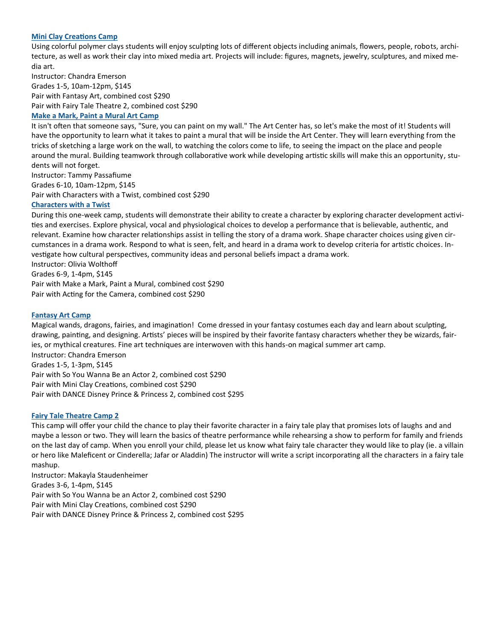#### **[Mini Clay Creations Camp](https://www.oldhamcntyschs.ky.schools.bz/20/CourseInfo/302)**

Using colorful polymer clays students will enjoy sculpting lots of different objects including animals, flowers, people, robots, architecture, as well as work their clay into mixed media art. Projects will include: figures, magnets, jewelry, sculptures, and mixed media art.

Instructor: Chandra Emerson Grades 1-5, 10am-12pm, \$145 Pair with Fantasy Art, combined cost \$290 Pair with Fairy Tale Theatre 2, combined cost \$290

#### **[Make a Mark, Paint a Mural Art Camp](https://www.oldhamcntyschs.ky.schools.bz/20/CourseInfo/310)**

It isn't often that someone says, "Sure, you can paint on my wall." The Art Center has, so let's make the most of it! Students will have the opportunity to learn what it takes to paint a mural that will be inside the Art Center. They will learn everything from the tricks of sketching a large work on the wall, to watching the colors come to life, to seeing the impact on the place and people around the mural. Building teamwork through collaborative work while developing artistic skills will make this an opportunity, students will not forget.

Instructor: Tammy Passafiume Grades 6-10, 10am-12pm, \$145 Pair with Characters with a Twist, combined cost \$290

#### **[Characters with a Twist](https://www.oldhamcntyschs.ky.schools.bz/20/CourseInfo/308)**

During this one-week camp, students will demonstrate their ability to create a character by exploring character development activities and exercises. Explore physical, vocal and physiological choices to develop a performance that is believable, authentic, and relevant. Examine how character relationships assist in telling the story of a drama work. Shape character choices using given circumstances in a drama work. Respond to what is seen, felt, and heard in a drama work to develop criteria for artistic choices. Investigate how cultural perspectives, community ideas and personal beliefs impact a drama work. Instructor: Olivia Wolthoff

Grades 6-9, 1-4pm, \$145

Pair with Make a Mark, Paint a Mural, combined cost \$290 Pair with Acting for the Camera, combined cost \$290

#### **[Fantasy Art Camp](https://www.oldhamcntyschs.ky.schools.bz/20/CourseInfo/314)**

Magical wands, dragons, fairies, and imagination! Come dressed in your fantasy costumes each day and learn about sculpting, drawing, painting, and designing. Artists' pieces will be inspired by their favorite fantasy characters whether they be wizards, fairies, or mythical creatures. Fine art techniques are interwoven with this hands-on magical summer art camp. Instructor: Chandra Emerson Grades 1-5, 1-3pm, \$145 Pair with So You Wanna Be an Actor 2, combined cost \$290 Pair with Mini Clay Creations, combined cost \$290 Pair with DANCE Disney Prince & Princess 2, combined cost \$295

#### **[Fairy Tale Theatre Camp 2](https://www.oldhamcntyschs.ky.schools.bz/20/CourseInfo/312)**

This camp will offer your child the chance to play their favorite character in a fairy tale play that promises lots of laughs and and maybe a lesson or two. They will learn the basics of theatre performance while rehearsing a show to perform for family and friends on the last day of camp. When you enroll your child, please let us know what fairy tale character they would like to play (ie. a villain or hero like Maleficent or Cinderella; Jafar or Aladdin) The instructor will write a script incorporating all the characters in a fairy tale mashup.

Instructor: Makayla Staudenheimer Grades 3-6, 1-4pm, \$145 Pair with So You Wanna be an Actor 2, combined cost \$290 Pair with Mini Clay Creations, combined cost \$290 Pair with DANCE Disney Prince & Princess 2, combined cost \$295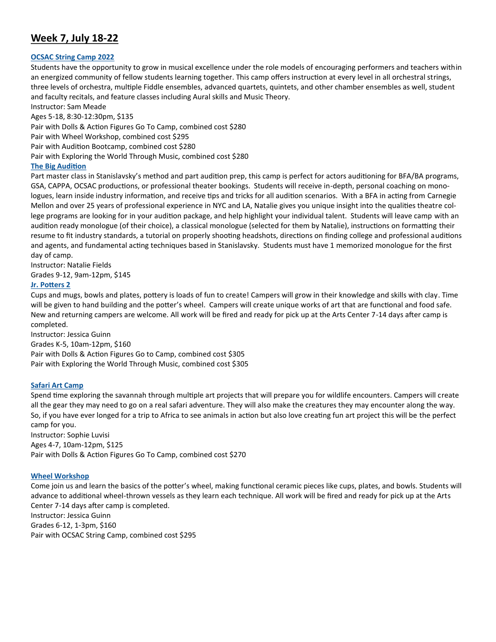## **Week 7, July 18-22**

#### **[OCSAC String Camp 2022](https://www.oldhamcntyschs.ky.schools.bz/20/CourseInfo/286)**

Students have the opportunity to grow in musical excellence under the role models of encouraging performers and teachers within an energized community of fellow students learning together. This camp offers instruction at every level in all orchestral strings, three levels of orchestra, multiple Fiddle ensembles, advanced quartets, quintets, and other chamber ensembles as well, student and faculty recitals, and feature classes including Aural skills and Music Theory.

Instructor: Sam Meade Ages 5-18, 8:30-12:30pm, \$135 Pair with Dolls & Action Figures Go To Camp, combined cost \$280 Pair with Wheel Workshop, combined cost \$295 Pair with Audition Bootcamp, combined cost \$280 Pair with Exploring the World Through Music, combined cost \$280

#### **[The Big Audition](https://www.oldhamcntyschs.ky.schools.bz/20/CourseInfo/318)**

Part master class in Stanislavsky's method and part audition prep, this camp is perfect for actors auditioning for BFA/BA programs, GSA, CAPPA, OCSAC productions, or professional theater bookings. Students will receive in-depth, personal coaching on monologues, learn inside industry information, and receive tips and tricks for all audition scenarios. With a BFA in acting from Carnegie Mellon and over 25 years of professional experience in NYC and LA, Natalie gives you unique insight into the qualities theatre college programs are looking for in your audition package, and help highlight your individual talent. Students will leave camp with an audition ready monologue (of their choice), a classical monologue (selected for them by Natalie), instructions on formatting their resume to fit industry standards, a tutorial on properly shooting headshots, directions on finding college and professional auditions and agents, and fundamental acting techniques based in Stanislavsky. Students must have 1 memorized monologue for the first day of camp.

Instructor: Natalie Fields Grades 9-12, 9am-12pm, \$145

#### **[Jr. Potters 2](https://www.oldhamcntyschs.ky.schools.bz/20/CourseInfo/316)**

Cups and mugs, bowls and plates, pottery is loads of fun to create! Campers will grow in their knowledge and skills with clay. Time will be given to hand building and the potter's wheel. Campers will create unique works of art that are functional and food safe. New and returning campers are welcome. All work will be fired and ready for pick up at the Arts Center 7-14 days after camp is completed.

Instructor: Jessica Guinn Grades K-5, 10am-12pm, \$160 Pair with Dolls & Action Figures Go to Camp, combined cost \$305 Pair with Exploring the World Through Music, combined cost \$305

#### **[Safari Art Camp](https://www.oldhamcntyschs.ky.schools.bz/20/CourseInfo/340)**

Spend time exploring the savannah through multiple art projects that will prepare you for wildlife encounters. Campers will create all the gear they may need to go on a real safari adventure. They will also make the creatures they may encounter along the way. So, if you have ever longed for a trip to Africa to see animals in action but also love creating fun art project this will be the perfect camp for you.

Instructor: Sophie Luvisi Ages 4-7, 10am-12pm, \$125 Pair with Dolls & Action Figures Go To Camp, combined cost \$270

#### **[Wheel Workshop](https://www.oldhamcntyschs.ky.schools.bz/20/CourseInfo/342)**

Come join us and learn the basics of the potter's wheel, making functional ceramic pieces like cups, plates, and bowls. Students will advance to additional wheel-thrown vessels as they learn each technique. All work will be fired and ready for pick up at the Arts Center 7-14 days after camp is completed. Instructor: Jessica Guinn Grades 6-12, 1-3pm, \$160 Pair with OCSAC String Camp, combined cost \$295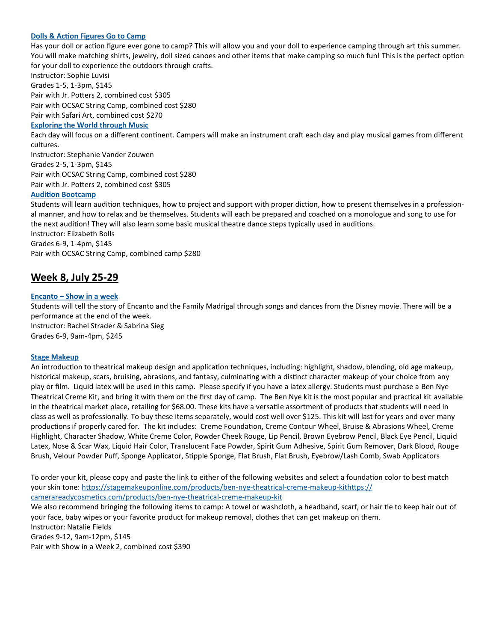#### **[Dolls & Action Figures Go to Camp](https://www.oldhamcntyschs.ky.schools.bz/20/CourseInfo/344)**

Has your doll or action figure ever gone to camp? This will allow you and your doll to experience camping through art this summer. You will make matching shirts, jewelry, doll sized canoes and other items that make camping so much fun! This is the perfect option for your doll to experience the outdoors through crafts.

Instructor: Sophie Luvisi Grades 1-5, 1-3pm, \$145 Pair with Jr. Potters 2, combined cost \$305 Pair with OCSAC String Camp, combined cost \$280 Pair with Safari Art, combined cost \$270

#### **[Exploring the World through Music](https://www.oldhamcntyschs.ky.schools.bz/20/CourseInfo/288)**

Each day will focus on a different continent. Campers will make an instrument craft each day and play musical games from different cultures.

Instructor: Stephanie Vander Zouwen Grades 2-5, 1-3pm, \$145 Pair with OCSAC String Camp, combined cost \$280 Pair with Jr. Potters 2, combined cost \$305

#### **[Audition Bootcamp](https://www.oldhamcntyschs.ky.schools.bz/20/CourseInfo/338)**

Students will learn audition techniques, how to project and support with proper diction, how to present themselves in a professional manner, and how to relax and be themselves. Students will each be prepared and coached on a monologue and song to use for the next audition! They will also learn some basic musical theatre dance steps typically used in auditions. Instructor: Elizabeth Bolls Grades 6-9, 1-4pm, \$145 Pair with OCSAC String Camp, combined camp \$280

## **Week 8, July 25-29**

#### **Encanto – [Show in a week](https://www.oldhamcntyschs.ky.schools.bz/20/CourseInfo/348)**

Students will tell the story of Encanto and the Family Madrigal through songs and dances from the Disney movie. There will be a performance at the end of the week. Instructor: Rachel Strader & Sabrina Sieg Grades 6-9, 9am-4pm, \$245

#### **[Stage Makeup](https://www.oldhamcntyschs.ky.schools.bz/20/CourseInfo/350)**

An introduction to theatrical makeup design and application techniques, including: highlight, shadow, blending, old age makeup, historical makeup, scars, bruising, abrasions, and fantasy, culminating with a distinct character makeup of your choice from any play or film. Liquid latex will be used in this camp. Please specify if you have a latex allergy. Students must purchase a Ben Nye Theatrical Creme Kit, and bring it with them on the first day of camp. The Ben Nye kit is the most popular and practical kit available in the theatrical market place, retailing for \$68.00. These kits have a versatile assortment of products that students will need in class as well as professionally. To buy these items separately, would cost well over \$125. This kit will last for years and over many productions if properly cared for. The kit includes: Creme Foundation, Creme Contour Wheel, Bruise & Abrasions Wheel, Creme Highlight, Character Shadow, White Creme Color, Powder Cheek Rouge, Lip Pencil, Brown Eyebrow Pencil, Black Eye Pencil, Liquid Latex, Nose & Scar Wax, Liquid Hair Color, Translucent Face Powder, Spirit Gum Adhesive, Spirit Gum Remover, Dark Blood, Rouge Brush, Velour Powder Puff, Sponge Applicator, Stipple Sponge, Flat Brush, Flat Brush, Eyebrow/Lash Comb, Swab Applicators

To order your kit, please copy and paste the link to either of the following websites and select a foundation color to best match your skin tone: [https://stagemakeuponline.com/products/ben](https://stagemakeuponline.com/products/ben-nye-theatrical-creme-makeup-kithttps:/camerareadycosmetics.com/products/ben-nye-theatrical-creme-makeup-kit)-nye-theatrical-creme-makeup-kithttps:// [camerareadycosmetics.com/products/ben](https://stagemakeuponline.com/products/ben-nye-theatrical-creme-makeup-kithttps:/camerareadycosmetics.com/products/ben-nye-theatrical-creme-makeup-kit)-nye-theatrical-creme-makeup-kit

We also recommend bringing the following items to camp: A towel or washcloth, a headband, scarf, or hair tie to keep hair out of your face, baby wipes or your favorite product for makeup removal, clothes that can get makeup on them. Instructor: Natalie Fields Grades 9-12, 9am-12pm, \$145

Pair with Show in a Week 2, combined cost \$390